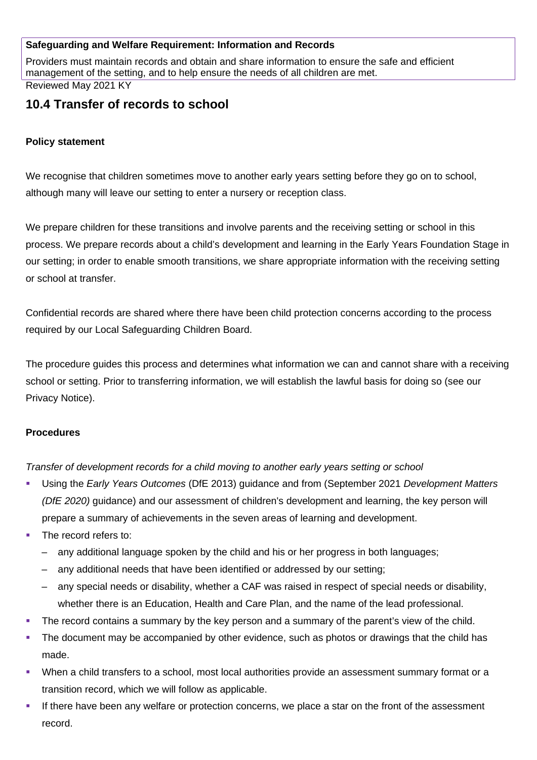## **Safeguarding and Welfare Requirement: Information and Records**

Providers must maintain records and obtain and share information to ensure the safe and efficient management of the setting, and to help ensure the needs of all children are met.

Reviewed May 2021 KY

# **10.4 Transfer of records to school**

## **Policy statement**

We recognise that children sometimes move to another early years setting before they go on to school, although many will leave our setting to enter a nursery or reception class.

We prepare children for these transitions and involve parents and the receiving setting or school in this process. We prepare records about a child's development and learning in the Early Years Foundation Stage in our setting; in order to enable smooth transitions, we share appropriate information with the receiving setting or school at transfer.

Confidential records are shared where there have been child protection concerns according to the process required by our Local Safeguarding Children Board.

The procedure guides this process and determines what information we can and cannot share with a receiving school or setting. Prior to transferring information, we will establish the lawful basis for doing so (see our Privacy Notice).

#### **Procedures**

*Transfer of development records for a child moving to another early years setting or school*

- Using the *Early Years Outcomes* (DfE 2013) guidance and from (September 2021 *Development Matters (DfE 2020)* guidance) and our assessment of children's development and learning, the key person will prepare a summary of achievements in the seven areas of learning and development.
- The record refers to:
	- any additional language spoken by the child and his or her progress in both languages;
	- any additional needs that have been identified or addressed by our setting;
	- any special needs or disability, whether a CAF was raised in respect of special needs or disability, whether there is an Education, Health and Care Plan, and the name of the lead professional.
- The record contains a summary by the key person and a summary of the parent's view of the child.
- The document may be accompanied by other evidence, such as photos or drawings that the child has made.
- When a child transfers to a school, most local authorities provide an assessment summary format or a transition record, which we will follow as applicable.
- If there have been any welfare or protection concerns, we place a star on the front of the assessment record.